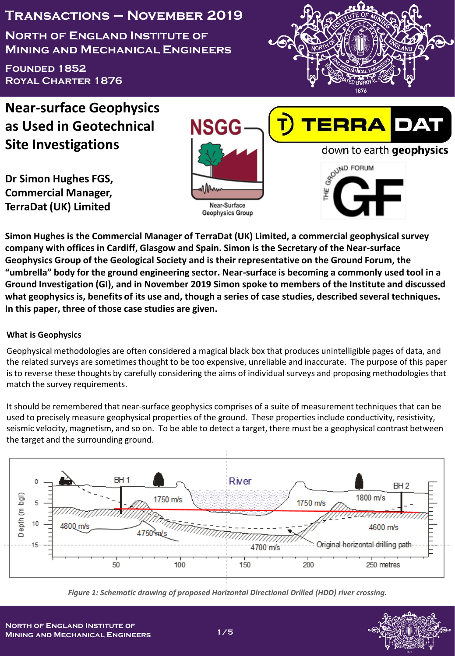**Transactions – November 2019**

**North of England Institute of Mining and Mechanical Engineers**

**Founded 1852 Royal Charter 1876**



**Near-surface Geophysics as Used in Geotechnical Site Investigations**

**Dr Simon Hughes FGS, Commercial Manager, TerraDat (UK) Limited**





**Simon Hughes is the Commercial Manager of TerraDat (UK) Limited, a commercial geophysical survey company with offices in Cardiff, Glasgow and Spain. Simon is the Secretary of the Near-surface Geophysics Group of the Geological Society and is their representative on the Ground Forum, the "umbrella" body for the ground engineering sector. Near-surface is becoming a commonly used tool in a Ground Investigation (GI), and in November 2019 Simon spoke to members of the Institute and discussed what geophysics is, benefits of its use and, though a series of case studies, described several techniques. In this paper, three of those case studies are given.**

# **What is Geophysics**

Geophysical methodologies are often considered a magical black box that produces unintelligible pages of data, and the related surveys are sometimes thought to be too expensive, unreliable and inaccurate. The purpose of this paper is to reverse these thoughts by carefully considering the aims of individual surveys and proposing methodologies that match the survey requirements.

It should be remembered that near-surface geophysics comprises of a suite of measurement techniques that can be used to precisely measure geophysical properties of the ground. These properties include conductivity, resistivity, seismic velocity, magnetism, and so on. To be able to detect a target, there must be a geophysical contrast between the target and the surrounding ground.



*Figure 1: Schematic drawing of proposed Horizontal Directional Drilled (HDD) river crossing.*

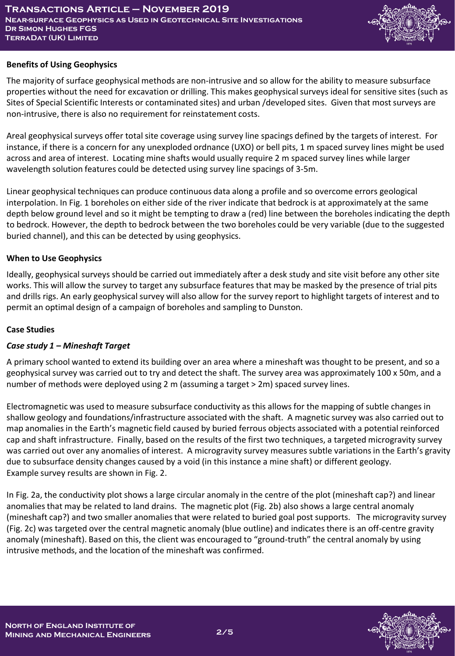

### **Benefits of Using Geophysics**

The majority of surface geophysical methods are non-intrusive and so allow for the ability to measure subsurface properties without the need for excavation or drilling. This makes geophysical surveys ideal for sensitive sites (such as Sites of Special Scientific Interests or contaminated sites) and urban /developed sites. Given that most surveys are non-intrusive, there is also no requirement for reinstatement costs.

Areal geophysical surveys offer total site coverage using survey line spacings defined by the targets of interest. For instance, if there is a concern for any unexploded ordnance (UXO) or bell pits, 1 m spaced survey lines might be used across and area of interest. Locating mine shafts would usually require 2 m spaced survey lines while larger wavelength solution features could be detected using survey line spacings of 3-5m.

Linear geophysical techniques can produce continuous data along a profile and so overcome errors geological interpolation. In Fig. 1 boreholes on either side of the river indicate that bedrock is at approximately at the same depth below ground level and so it might be tempting to draw a (red) line between the boreholes indicating the depth to bedrock. However, the depth to bedrock between the two boreholes could be very variable (due to the suggested buried channel), and this can be detected by using geophysics.

## **When to Use Geophysics**

Ideally, geophysical surveys should be carried out immediately after a desk study and site visit before any other site works. This will allow the survey to target any subsurface features that may be masked by the presence of trial pits and drills rigs. An early geophysical survey will also allow for the survey report to highlight targets of interest and to permit an optimal design of a campaign of boreholes and sampling to Dunston.

### **Case Studies**

# *Case study 1 – Mineshaft Target*

A primary school wanted to extend its building over an area where a mineshaft was thought to be present, and so a geophysical survey was carried out to try and detect the shaft. The survey area was approximately 100 x 50m, and a number of methods were deployed using 2 m (assuming a target > 2m) spaced survey lines.

Electromagnetic was used to measure subsurface conductivity as this allows for the mapping of subtle changes in shallow geology and foundations/infrastructure associated with the shaft. A magnetic survey was also carried out to map anomalies in the Earth's magnetic field caused by buried ferrous objects associated with a potential reinforced cap and shaft infrastructure. Finally, based on the results of the first two techniques, a targeted microgravity survey was carried out over any anomalies of interest. A microgravity survey measures subtle variations in the Earth's gravity due to subsurface density changes caused by a void (in this instance a mine shaft) or different geology. Example survey results are shown in Fig. 2.

In Fig. 2a, the conductivity plot shows a large circular anomaly in the centre of the plot (mineshaft cap?) and linear anomalies that may be related to land drains. The magnetic plot (Fig. 2b) also shows a large central anomaly (mineshaft cap?) and two smaller anomalies that were related to buried goal post supports. The microgravity survey (Fig. 2c) was targeted over the central magnetic anomaly (blue outline) and indicates there is an off-centre gravity anomaly (mineshaft). Based on this, the client was encouraged to "ground-truth" the central anomaly by using intrusive methods, and the location of the mineshaft was confirmed.

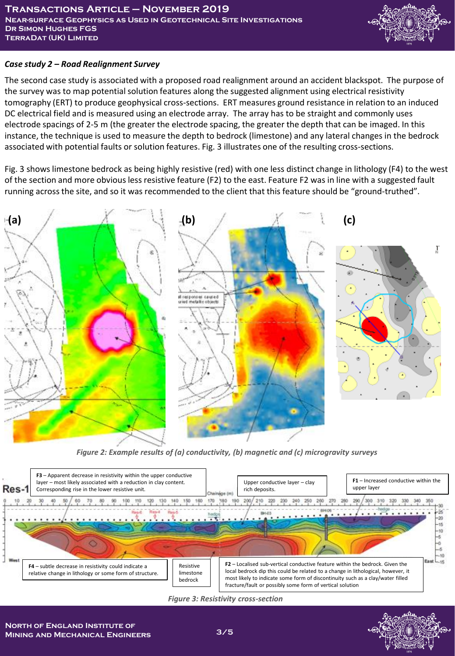

### *Case study 2 – Road Realignment Survey*

The second case study is associated with a proposed road realignment around an accident blackspot. The purpose of the survey was to map potential solution features along the suggested alignment using electrical resistivity tomography (ERT) to produce geophysical cross-sections. ERT measures ground resistance in relation to an induced DC electrical field and is measured using an electrode array. The array has to be straight and commonly uses electrode spacings of 2-5 m (the greater the electrode spacing, the greater the depth that can be imaged. In this instance, the technique is used to measure the depth to bedrock (limestone) and any lateral changes in the bedrock associated with potential faults or solution features. Fig. 3 illustrates one of the resulting cross-sections.

Fig. 3 shows limestone bedrock as being highly resistive (red) with one less distinct change in lithology (F4) to the west of the section and more obvious less resistive feature (F2) to the east. Feature F2 was in line with a suggested fault running across the site, and so it was recommended to the client that this feature should be "ground-truthed".



*Figure 2: Example results of (a) conductivity, (b) magnetic and (c) microgravity surveys*

![](_page_2_Figure_7.jpeg)

*Figure 3: Resistivity cross-section*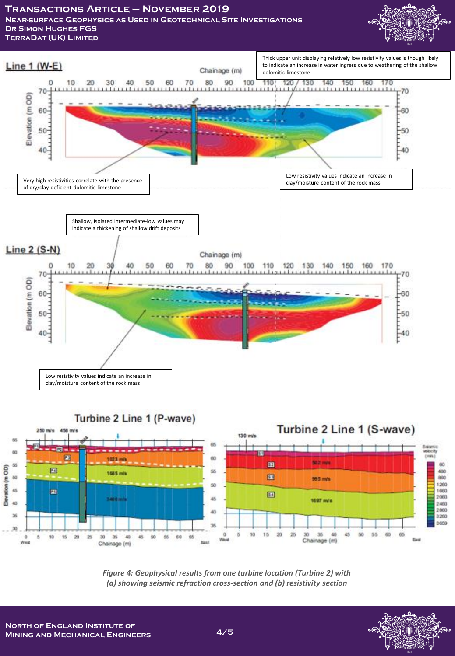**Transactions Article – November 2019 Near-surface Geophysics as Used in Geotechnical Site Investigations**

**Dr Simon Hughes FGS TerraDat (UK) Limited**

![](_page_3_Picture_2.jpeg)

![](_page_3_Figure_3.jpeg)

![](_page_3_Figure_4.jpeg)

*Figure 4: Geophysical results from one turbine location (Turbine 2) with (a) showing seismic refraction cross-section and (b) resistivity section* 

![](_page_3_Picture_7.jpeg)